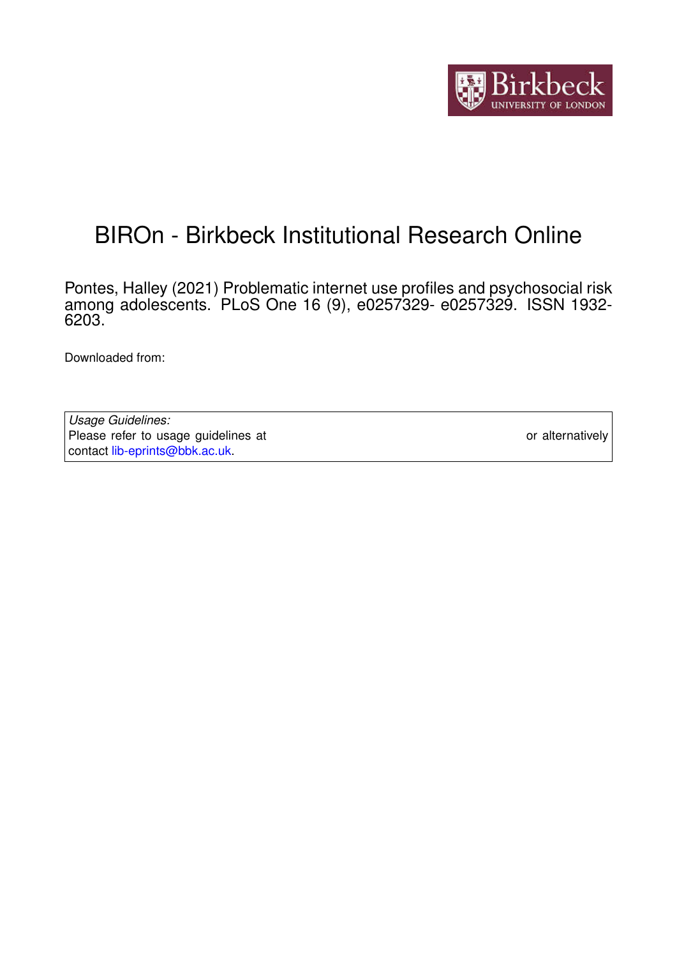

# BIROn - Birkbeck Institutional Research Online

Pontes, Halley (2021) Problematic internet use profiles and psychosocial risk among adolescents. PLoS One 16 (9), e0257329- e0257329. ISSN 1932- 6203.

Downloaded from: <https://eprints.bbk.ac.uk/id/eprint/46007/>

*Usage Guidelines:* Please refer to usage guidelines at <https://eprints.bbk.ac.uk/policies.html> or alternatively contact [lib-eprints@bbk.ac.uk.](mailto:lib-eprints@bbk.ac.uk)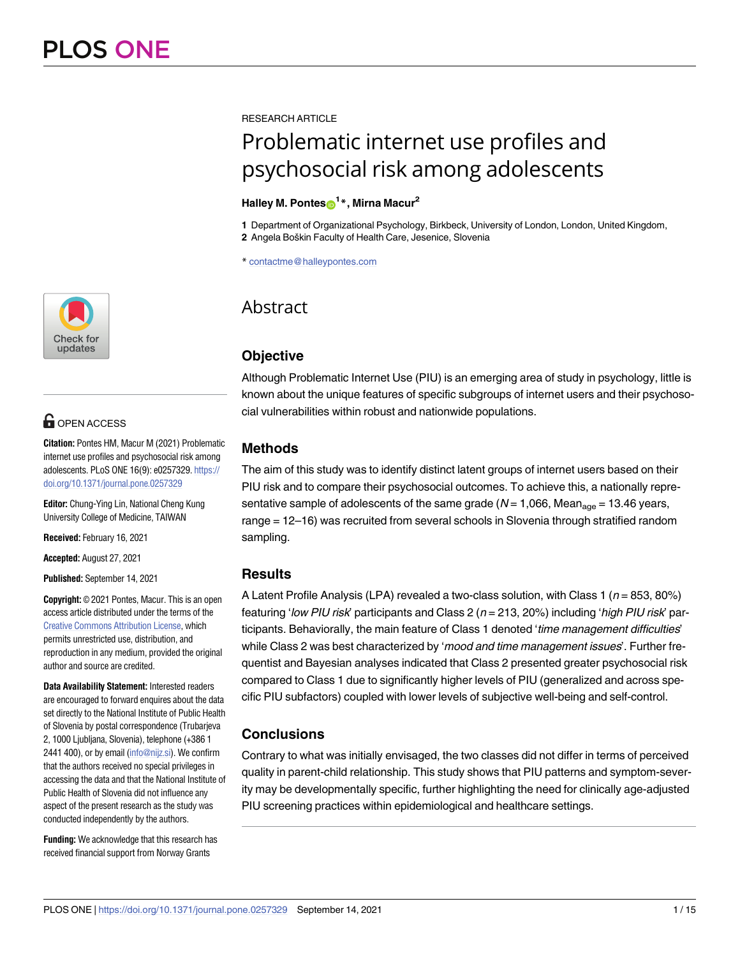

# **OPEN ACCESS**

**Citation:** Pontes HM, Macur M (2021) Problematic internet use profiles and psychosocial risk among adolescents. PLoS ONE 16(9): e0257329. [https://](https://doi.org/10.1371/journal.pone.0257329) [doi.org/10.1371/journal.pone.0257329](https://doi.org/10.1371/journal.pone.0257329)

**Editor:** Chung-Ying Lin, National Cheng Kung University College of Medicine, TAIWAN

**Received:** February 16, 2021

**Accepted:** August 27, 2021

**Published:** September 14, 2021

**Copyright:** © 2021 Pontes, Macur. This is an open access article distributed under the terms of the Creative Commons [Attribution](http://creativecommons.org/licenses/by/4.0/) License, which permits unrestricted use, distribution, and reproduction in any medium, provided the original author and source are credited.

**Data Availability Statement:** Interested readers are encouraged to forward enquires about the data set directly to the National Institute of Public Health of Slovenia by postal correspondence (Trubarjeva 2, 1000 Ljubljana, Slovenia), telephone (+386 1 2441 400), or by email [\(info@nijz.si](mailto:info@nijz.si)). We confirm that the authors received no special privileges in accessing the data and that the National Institute of Public Health of Slovenia did not influence any aspect of the present research as the study was conducted independently by the authors.

**Funding:** We acknowledge that this research has received financial support from Norway Grants

RESEARCH ARTICLE

# Problematic internet use profiles and psychosocial risk among adolescents

# **Halley M. Pontes[ID1](https://orcid.org/0000-0001-8020-7623) \*, Mirna Macur2**

**1** Department of Organizational Psychology, Birkbeck, University of London, London, United Kingdom, 2 Angela Boškin Faculty of Health Care, Jesenice, Slovenia

\* contactme@halleypontes.com

# Abstract

# **Objective**

Although Problematic Internet Use (PIU) is an emerging area of study in psychology, little is known about the unique features of specific subgroups of internet users and their psychosocial vulnerabilities within robust and nationwide populations.

# **Methods**

The aim of this study was to identify distinct latent groups of internet users based on their PIU risk and to compare their psychosocial outcomes. To achieve this, a nationally representative sample of adolescents of the same grade ( $N = 1,066$ , Mean<sub>age</sub> = 13.46 years, range = 12–16) was recruited from several schools in Slovenia through stratified random sampling.

# **Results**

A Latent Profile Analysis (LPA) revealed a two-class solution, with Class 1 ( $n = 853, 80\%)$ featuring 'low PIU risk' participants and Class 2 ( $n = 213$ , 20%) including 'high PIU risk' participants. Behaviorally, the main feature of Class 1 denoted 'time management difficulties' while Class 2 was best characterized by 'mood and time management issues'. Further frequentist and Bayesian analyses indicated that Class 2 presented greater psychosocial risk compared to Class 1 due to significantly higher levels of PIU (generalized and across specific PIU subfactors) coupled with lower levels of subjective well-being and self-control.

# **Conclusions**

Contrary to what was initially envisaged, the two classes did not differ in terms of perceived quality in parent-child relationship. This study shows that PIU patterns and symptom-severity may be developmentally specific, further highlighting the need for clinically age-adjusted PIU screening practices within epidemiological and healthcare settings.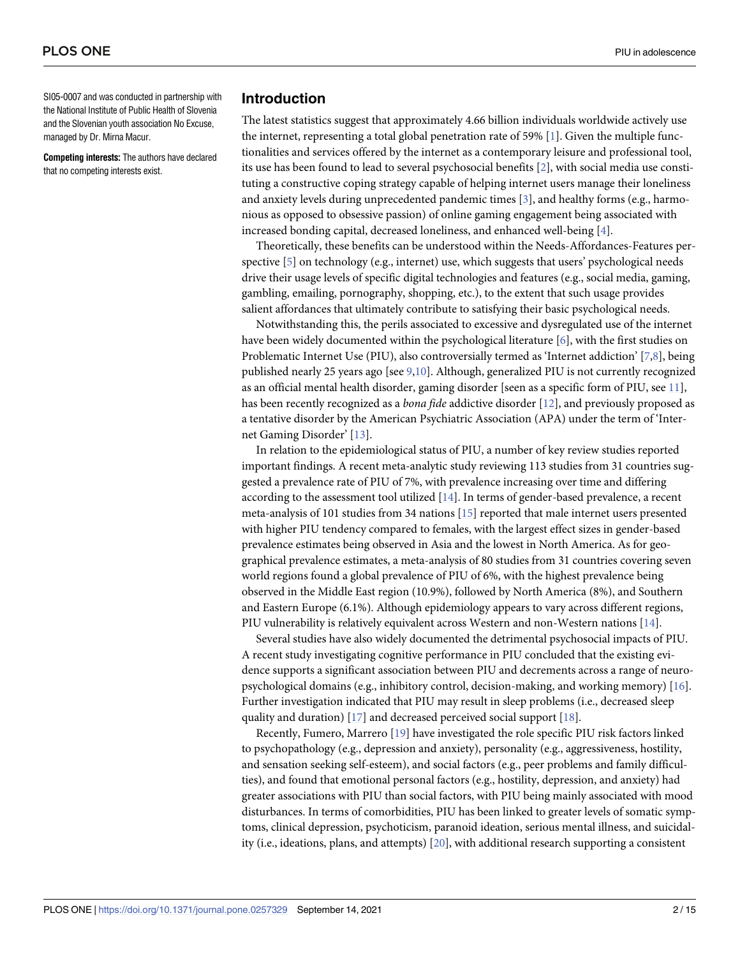<span id="page-2-0"></span>SI05-0007 and was conducted in partnership with the National Institute of Public Health of Slovenia and the Slovenian youth association No Excuse, managed by Dr. Mirna Macur.

**Competing interests:** The authors have declared that no competing interests exist.

## **Introduction**

The latest statistics suggest that approximately 4.66 billion individuals worldwide actively use the internet, representing a total global penetration rate of 59% [\[1\]](#page-12-0). Given the multiple functionalities and services offered by the internet as a contemporary leisure and professional tool, its use has been found to lead to several psychosocial benefits [\[2\]](#page-12-0), with social media use constituting a constructive coping strategy capable of helping internet users manage their loneliness and anxiety levels during unprecedented pandemic times [[3](#page-12-0)], and healthy forms (e.g., harmonious as opposed to obsessive passion) of online gaming engagement being associated with increased bonding capital, decreased loneliness, and enhanced well-being [\[4\]](#page-12-0).

Theoretically, these benefits can be understood within the Needs-Affordances-Features perspective  $[5]$  $[5]$  on technology (e.g., internet) use, which suggests that users' psychological needs drive their usage levels of specific digital technologies and features (e.g., social media, gaming, gambling, emailing, pornography, shopping, etc.), to the extent that such usage provides salient affordances that ultimately contribute to satisfying their basic psychological needs.

Notwithstanding this, the perils associated to excessive and dysregulated use of the internet have been widely documented within the psychological literature [[6](#page-12-0)], with the first studies on Problematic Internet Use (PIU), also controversially termed as 'Internet addiction' [\[7,8\]](#page-12-0), being published nearly 25 years ago [see [9,10\]](#page-12-0). Although, generalized PIU is not currently recognized as an official mental health disorder, gaming disorder [seen as a specific form of PIU, see [11\]](#page-12-0), has been recently recognized as a *bona fide* addictive disorder [\[12\]](#page-12-0), and previously proposed as a tentative disorder by the American Psychiatric Association (APA) under the term of 'Internet Gaming Disorder' [\[13\]](#page-12-0).

In relation to the epidemiological status of PIU, a number of key review studies reported important findings. A recent meta-analytic study reviewing 113 studies from 31 countries suggested a prevalence rate of PIU of 7%, with prevalence increasing over time and differing according to the assessment tool utilized [\[14\]](#page-12-0). In terms of gender-based prevalence, a recent meta-analysis of 101 studies from 34 nations [\[15\]](#page-12-0) reported that male internet users presented with higher PIU tendency compared to females, with the largest effect sizes in gender-based prevalence estimates being observed in Asia and the lowest in North America. As for geographical prevalence estimates, a meta-analysis of 80 studies from 31 countries covering seven world regions found a global prevalence of PIU of 6%, with the highest prevalence being observed in the Middle East region (10.9%), followed by North America (8%), and Southern and Eastern Europe (6.1%). Although epidemiology appears to vary across different regions, PIU vulnerability is relatively equivalent across Western and non-Western nations [[14](#page-12-0)].

Several studies have also widely documented the detrimental psychosocial impacts of PIU. A recent study investigating cognitive performance in PIU concluded that the existing evidence supports a significant association between PIU and decrements across a range of neuropsychological domains (e.g., inhibitory control, decision-making, and working memory) [\[16\]](#page-13-0). Further investigation indicated that PIU may result in sleep problems (i.e., decreased sleep quality and duration) [[17](#page-13-0)] and decreased perceived social support [\[18\]](#page-13-0).

Recently, Fumero, Marrero [\[19\]](#page-13-0) have investigated the role specific PIU risk factors linked to psychopathology (e.g., depression and anxiety), personality (e.g., aggressiveness, hostility, and sensation seeking self-esteem), and social factors (e.g., peer problems and family difficulties), and found that emotional personal factors (e.g., hostility, depression, and anxiety) had greater associations with PIU than social factors, with PIU being mainly associated with mood disturbances. In terms of comorbidities, PIU has been linked to greater levels of somatic symptoms, clinical depression, psychoticism, paranoid ideation, serious mental illness, and suicidality (i.e., ideations, plans, and attempts) [[20](#page-13-0)], with additional research supporting a consistent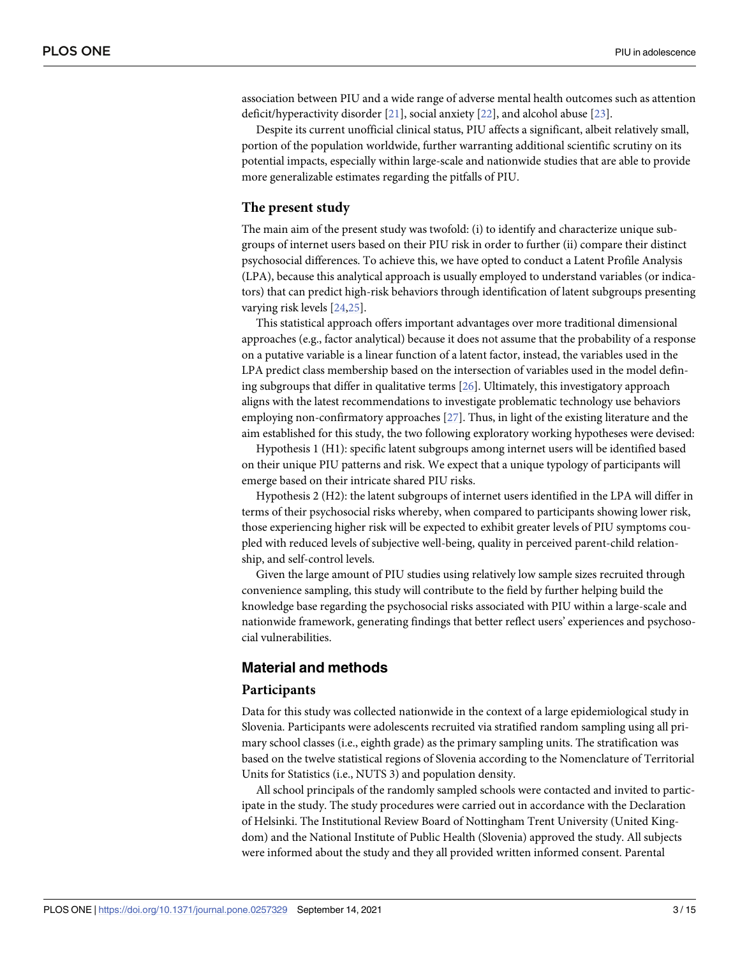<span id="page-3-0"></span>association between PIU and a wide range of adverse mental health outcomes such as attention deficit/hyperactivity disorder [[21](#page-13-0)], social anxiety [\[22\]](#page-13-0), and alcohol abuse [[23](#page-13-0)].

Despite its current unofficial clinical status, PIU affects a significant, albeit relatively small, portion of the population worldwide, further warranting additional scientific scrutiny on its potential impacts, especially within large-scale and nationwide studies that are able to provide more generalizable estimates regarding the pitfalls of PIU.

#### **The present study**

The main aim of the present study was twofold: (i) to identify and characterize unique subgroups of internet users based on their PIU risk in order to further (ii) compare their distinct psychosocial differences. To achieve this, we have opted to conduct a Latent Profile Analysis (LPA), because this analytical approach is usually employed to understand variables (or indicators) that can predict high-risk behaviors through identification of latent subgroups presenting varying risk levels [\[24,25\]](#page-13-0).

This statistical approach offers important advantages over more traditional dimensional approaches (e.g., factor analytical) because it does not assume that the probability of a response on a putative variable is a linear function of a latent factor, instead, the variables used in the LPA predict class membership based on the intersection of variables used in the model defining subgroups that differ in qualitative terms [[26](#page-13-0)]. Ultimately, this investigatory approach aligns with the latest recommendations to investigate problematic technology use behaviors employing non-confirmatory approaches [\[27\]](#page-13-0). Thus, in light of the existing literature and the aim established for this study, the two following exploratory working hypotheses were devised:

Hypothesis 1 (H1): specific latent subgroups among internet users will be identified based on their unique PIU patterns and risk. We expect that a unique typology of participants will emerge based on their intricate shared PIU risks.

Hypothesis 2 (H2): the latent subgroups of internet users identified in the LPA will differ in terms of their psychosocial risks whereby, when compared to participants showing lower risk, those experiencing higher risk will be expected to exhibit greater levels of PIU symptoms coupled with reduced levels of subjective well-being, quality in perceived parent-child relationship, and self-control levels.

Given the large amount of PIU studies using relatively low sample sizes recruited through convenience sampling, this study will contribute to the field by further helping build the knowledge base regarding the psychosocial risks associated with PIU within a large-scale and nationwide framework, generating findings that better reflect users' experiences and psychosocial vulnerabilities.

### **Material and methods**

#### **Participants**

Data for this study was collected nationwide in the context of a large epidemiological study in Slovenia. Participants were adolescents recruited via stratified random sampling using all primary school classes (i.e., eighth grade) as the primary sampling units. The stratification was based on the twelve statistical regions of Slovenia according to the Nomenclature of Territorial Units for Statistics (i.e., NUTS 3) and population density.

All school principals of the randomly sampled schools were contacted and invited to participate in the study. The study procedures were carried out in accordance with the Declaration of Helsinki. The Institutional Review Board of Nottingham Trent University (United Kingdom) and the National Institute of Public Health (Slovenia) approved the study. All subjects were informed about the study and they all provided written informed consent. Parental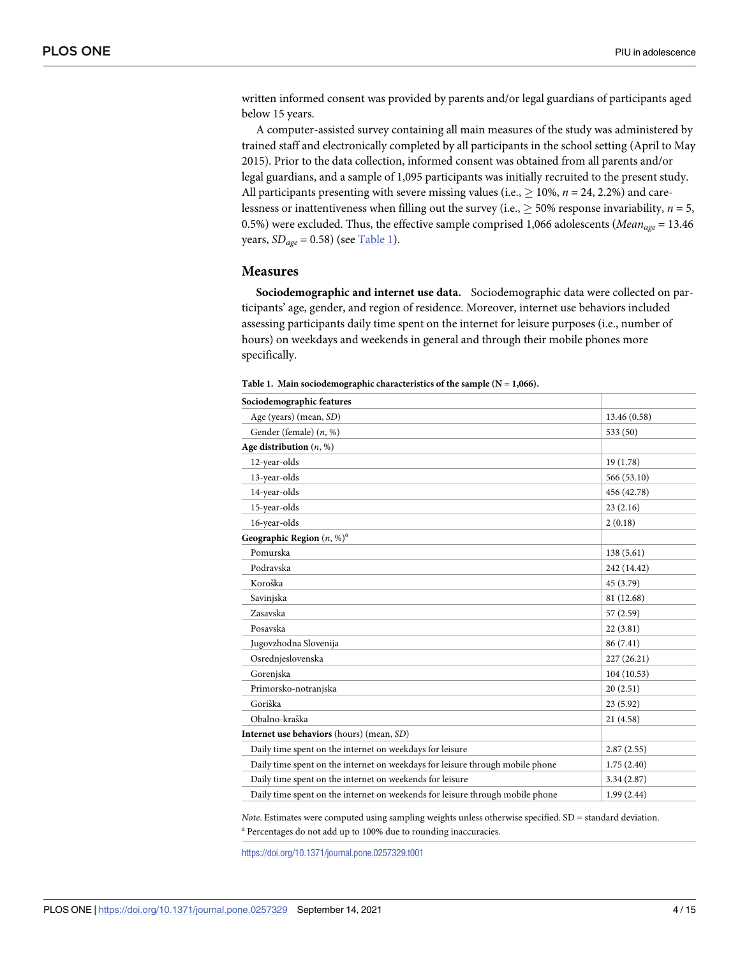<span id="page-4-0"></span>written informed consent was provided by parents and/or legal guardians of participants aged below 15 years.

A computer-assisted survey containing all main measures of the study was administered by trained staff and electronically completed by all participants in the school setting (April to May 2015). Prior to the data collection, informed consent was obtained from all parents and/or legal guardians, and a sample of 1,095 participants was initially recruited to the present study. All participants presenting with severe missing values (i.e.,  $\geq$  10%,  $n = 24$ , 2.2%) and carelessness or inattentiveness when filling out the survey (i.e.,  $\geq$  50% response invariability, *n* = 5, 0.5%) were excluded. Thus, the effective sample comprised 1,066 adolescents (*Meanage* = 13.46 years,  $SD_{age} = 0.58$ ) (see Table 1).

#### **Measures**

**Sociodemographic and internet use data.** Sociodemographic data were collected on participants' age, gender, and region of residence. Moreover, internet use behaviors included assessing participants daily time spent on the internet for leisure purposes (i.e., number of hours) on weekdays and weekends in general and through their mobile phones more specifically.

| Sociodemographic features                                                     |              |
|-------------------------------------------------------------------------------|--------------|
| Age (years) (mean, SD)                                                        | 13.46 (0.58) |
| Gender (female) $(n, %)$                                                      | 533 (50)     |
| Age distribution $(n, %)$                                                     |              |
| 12-year-olds                                                                  | 19(1.78)     |
| 13-year-olds                                                                  | 566 (53.10)  |
| 14-year-olds                                                                  | 456 (42.78)  |
| 15-year-olds                                                                  | 23(2.16)     |
| 16-year-olds                                                                  | 2(0.18)      |
| Geographic Region $(n, %)^a$                                                  |              |
| Pomurska                                                                      | 138(5.61)    |
| Podravska                                                                     | 242 (14.42)  |
| Koroška                                                                       | 45 (3.79)    |
| Savinjska                                                                     | 81 (12.68)   |
| Zasavska                                                                      | 57(2.59)     |
| Posavska                                                                      | 22(3.81)     |
| Jugovzhodna Slovenija                                                         | 86 (7.41)    |
| Osrednjeslovenska                                                             | 227 (26.21)  |
| Gorenjska                                                                     | 104(10.53)   |
| Primorsko-notranjska                                                          | 20(2.51)     |
| Goriška                                                                       | 23(5.92)     |
| Obalno-kraška                                                                 | 21(4.58)     |
| Internet use behaviors (hours) (mean, SD)                                     |              |
| Daily time spent on the internet on weekdays for leisure                      | 2.87(2.55)   |
| Daily time spent on the internet on weekdays for leisure through mobile phone | 1.75(2.40)   |
| Daily time spent on the internet on weekends for leisure                      | 3.34(2.87)   |
| Daily time spent on the internet on weekends for leisure through mobile phone | 1.99(2.44)   |

**Table 1. Main sociodemographic characteristics of the sample (N = 1,066).**

*Note*. Estimates were computed using sampling weights unless otherwise specified. SD = standard deviation. <sup>a</sup> Percentages do not add up to 100% due to rounding inaccuracies.

<https://doi.org/10.1371/journal.pone.0257329.t001>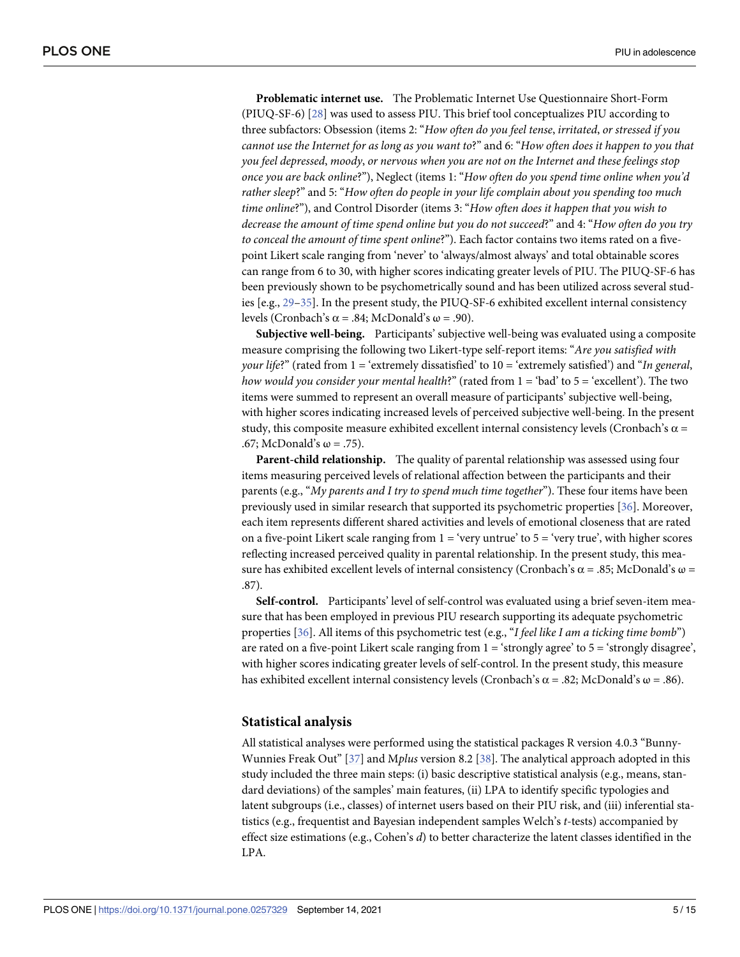<span id="page-5-0"></span>**Problematic internet use.** The Problematic Internet Use Questionnaire Short-Form (PIUQ-SF-6) [\[28\]](#page-13-0) was used to assess PIU. This brief tool conceptualizes PIU according to three subfactors: Obsession (items 2: "*How often do you feel tense*, *irritated*, *or stressed if you* cannot use the Internet for as long as you want to?" and 6: "How often does it happen to you that *you feel depressed*, *moody*, *or nervous when you are not on the Internet and these feelings stop once you are back online*?"), Neglect (items 1: "*How often do you spend time online when you'd rather sleep*?" and 5: "*How often do people in your life complain about you spending too much time online*?"), and Control Disorder (items 3: "*How often does it happen that you wish to decrease the amount of time spend online but you do not succeed*?" and 4: "*How often do you try to conceal the amount of time spent online*?"). Each factor contains two items rated on a fivepoint Likert scale ranging from 'never' to 'always/almost always' and total obtainable scores can range from 6 to 30, with higher scores indicating greater levels of PIU. The PIUQ-SF-6 has been previously shown to be psychometrically sound and has been utilized across several studies [e.g., [29](#page-13-0)–[35](#page-13-0)]. In the present study, the PIUQ-SF-6 exhibited excellent internal consistency levels (Cronbach's α = .84; McDonald's  $ω = .90$ ).

**Subjective well-being.** Participants' subjective well-being was evaluated using a composite measure comprising the following two Likert-type self-report items: "*Are you satisfied with your life*?" (rated from 1 = 'extremely dissatisfied' to 10 = 'extremely satisfied') and "*In general*, *how would you consider your mental health*?" (rated from 1 = 'bad' to 5 = 'excellent'). The two items were summed to represent an overall measure of participants' subjective well-being, with higher scores indicating increased levels of perceived subjective well-being. In the present study, this composite measure exhibited excellent internal consistency levels (Cronbach's  $\alpha$  = .67; McDonald's  $\omega$  = .75).

**Parent-child relationship.** The quality of parental relationship was assessed using four items measuring perceived levels of relational affection between the participants and their parents (e.g., "*My parents and I try to spend much time together*"). These four items have been previously used in similar research that supported its psychometric properties [\[36\]](#page-14-0). Moreover, each item represents different shared activities and levels of emotional closeness that are rated on a five-point Likert scale ranging from  $1 = 'very$  untrue' to  $5 = 'very$  true', with higher scores reflecting increased perceived quality in parental relationship. In the present study, this measure has exhibited excellent levels of internal consistency (Cronbach's  $\alpha$  = .85; McDonald's  $\omega$  = .87).

**Self-control.** Participants' level of self-control was evaluated using a brief seven-item measure that has been employed in previous PIU research supporting its adequate psychometric properties [\[36\]](#page-14-0). All items of this psychometric test (e.g., "*I feel like I am a ticking time bomb*") are rated on a five-point Likert scale ranging from  $1 = 'strongly agree'$  to  $5 = 'strongly disagree',$ with higher scores indicating greater levels of self-control. In the present study, this measure has exhibited excellent internal consistency levels (Cronbach's α = .82; McDonald's ω = .86).

#### **Statistical analysis**

All statistical analyses were performed using the statistical packages R version 4.0.3 "Bunny-Wunnies Freak Out" [[37](#page-14-0)] and M*plus* version 8.2 [[38](#page-14-0)]. The analytical approach adopted in this study included the three main steps: (i) basic descriptive statistical analysis (e.g., means, standard deviations) of the samples' main features, (ii) LPA to identify specific typologies and latent subgroups (i.e., classes) of internet users based on their PIU risk, and (iii) inferential statistics (e.g., frequentist and Bayesian independent samples Welch's *t*-tests) accompanied by effect size estimations (e.g., Cohen's *d*) to better characterize the latent classes identified in the LPA.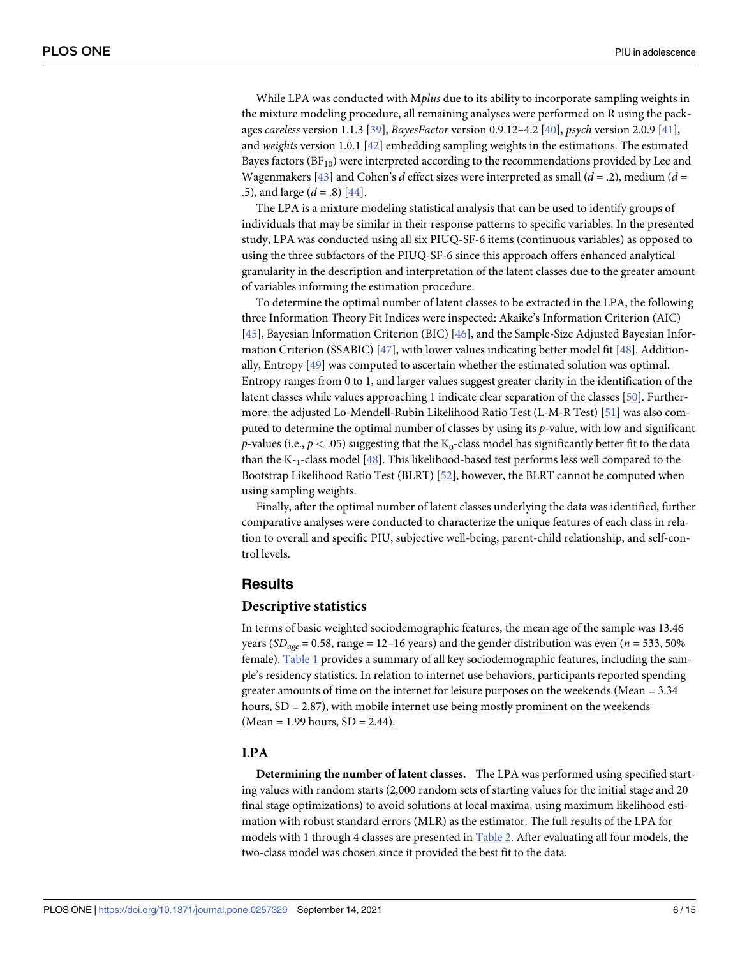<span id="page-6-0"></span>While LPA was conducted with M*plus* due to its ability to incorporate sampling weights in the mixture modeling procedure, all remaining analyses were performed on R using the packages *careless* version 1.1.3 [\[39\]](#page-14-0), *BayesFactor* version 0.9.12–4.2 [\[40\]](#page-14-0), *psych* version 2.0.9 [[41](#page-14-0)], and *weights* version 1.0.1 [\[42\]](#page-14-0) embedding sampling weights in the estimations. The estimated Bayes factors  $(BF_{10})$  were interpreted according to the recommendations provided by Lee and Wagenmakers [\[43\]](#page-14-0) and Cohen's *d* effect sizes were interpreted as small  $(d = .2)$ , medium  $(d = .2)$ .5), and large (*d* = .8) [\[44\]](#page-14-0).

The LPA is a mixture modeling statistical analysis that can be used to identify groups of individuals that may be similar in their response patterns to specific variables. In the presented study, LPA was conducted using all six PIUQ-SF-6 items (continuous variables) as opposed to using the three subfactors of the PIUQ-SF-6 since this approach offers enhanced analytical granularity in the description and interpretation of the latent classes due to the greater amount of variables informing the estimation procedure.

To determine the optimal number of latent classes to be extracted in the LPA, the following three Information Theory Fit Indices were inspected: Akaike's Information Criterion (AIC) [\[45\]](#page-14-0), Bayesian Information Criterion (BIC) [[46](#page-14-0)], and the Sample-Size Adjusted Bayesian Information Criterion (SSABIC) [[47](#page-14-0)], with lower values indicating better model fit [\[48\]](#page-14-0). Additionally, Entropy [[49](#page-14-0)] was computed to ascertain whether the estimated solution was optimal. Entropy ranges from 0 to 1, and larger values suggest greater clarity in the identification of the latent classes while values approaching 1 indicate clear separation of the classes [\[50\]](#page-14-0). Furthermore, the adjusted Lo-Mendell-Rubin Likelihood Ratio Test (L-M-R Test) [[51](#page-14-0)] was also computed to determine the optimal number of classes by using its *p*-value, with low and significant *p*-values (i.e.,  $p < .05$ ) suggesting that the K<sub>0</sub>-class model has significantly better fit to the data than the K-1-class model [[48](#page-14-0)]. This likelihood-based test performs less well compared to the Bootstrap Likelihood Ratio Test (BLRT) [[52](#page-14-0)], however, the BLRT cannot be computed when using sampling weights.

Finally, after the optimal number of latent classes underlying the data was identified, further comparative analyses were conducted to characterize the unique features of each class in relation to overall and specific PIU, subjective well-being, parent-child relationship, and self-control levels.

### **Results**

#### **Descriptive statistics**

In terms of basic weighted sociodemographic features, the mean age of the sample was 13.46 years ( $SD_{age}$  = 0.58, range = 12-16 years) and the gender distribution was even ( $n = 533, 50\%$ female). [Table](#page-4-0) 1 provides a summary of all key sociodemographic features, including the sample's residency statistics. In relation to internet use behaviors, participants reported spending greater amounts of time on the internet for leisure purposes on the weekends (Mean = 3.34 hours,  $SD = 2.87$ , with mobile internet use being mostly prominent on the weekends  $(Mean = 1.99 hours, SD = 2.44).$ 

#### **LPA**

**Determining the number of latent classes.** The LPA was performed using specified starting values with random starts (2,000 random sets of starting values for the initial stage and 20 final stage optimizations) to avoid solutions at local maxima, using maximum likelihood estimation with robust standard errors (MLR) as the estimator. The full results of the LPA for models with 1 through 4 classes are presented in [Table](#page-7-0) 2. After evaluating all four models, the two-class model was chosen since it provided the best fit to the data.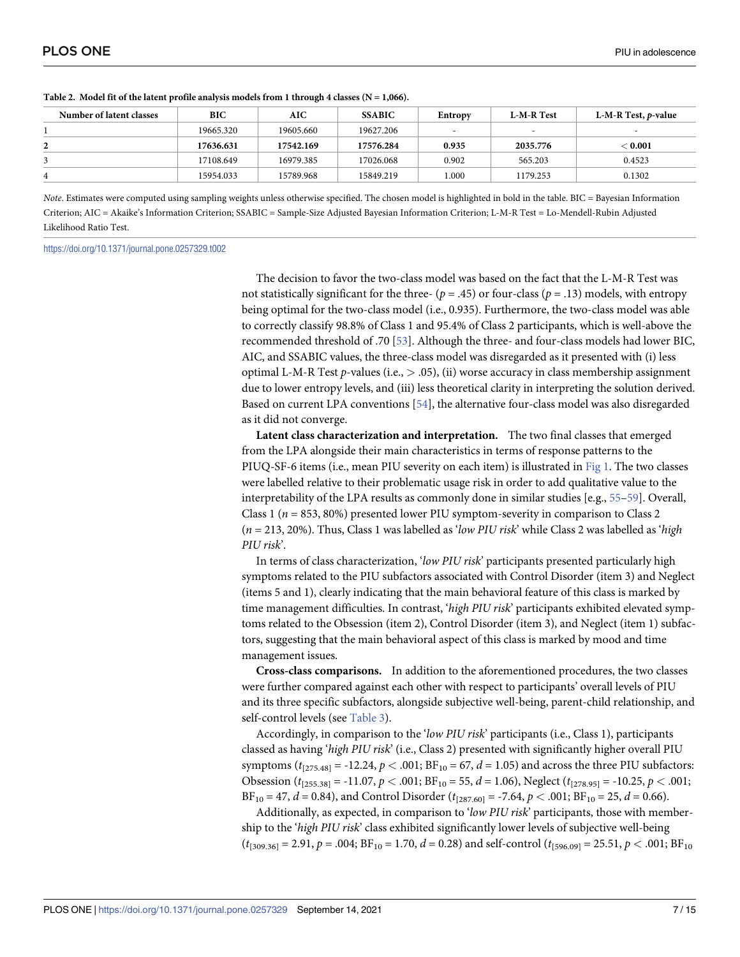| Number of latent classes | <b>BIC</b> | AIC       | <b>SSABIC</b> | Entropy | L-M-R Test<br>L-M-R Test, <i>p</i> -value |                          |
|--------------------------|------------|-----------|---------------|---------|-------------------------------------------|--------------------------|
|                          | 19665.320  | 19605.660 | 19627.206     |         | $\overline{\phantom{a}}$                  | $\overline{\phantom{a}}$ |
| $\mathbf{2}$             | 17636.631  | 17542.169 | 17576.284     | 0.935   | 2035.776                                  | $<$ 0.001 $\,$           |
|                          | 17108.649  | 16979.385 | 17026.068     | 0.902   | 565.203                                   | 0.4523                   |
| 4                        | 15954.033  | 15789.968 | 15849.219     | .000    | 1179.253                                  | 0.1302                   |

<span id="page-7-0"></span>**[Table](#page-6-0) 2. Model fit of the latent profile analysis models from 1 through 4 classes (N = 1,066).**

*Note*. Estimates were computed using sampling weights unless otherwise specified. The chosen model is highlighted in bold in the table. BIC = Bayesian Information Criterion; AIC = Akaike's Information Criterion; SSABIC = Sample-Size Adjusted Bayesian Information Criterion; L-M-R Test = Lo-Mendell-Rubin Adjusted Likelihood Ratio Test.

<https://doi.org/10.1371/journal.pone.0257329.t002>

The decision to favor the two-class model was based on the fact that the L-M-R Test was not statistically significant for the three- ( $p = .45$ ) or four-class ( $p = .13$ ) models, with entropy being optimal for the two-class model (i.e., 0.935). Furthermore, the two-class model was able to correctly classify 98.8% of Class 1 and 95.4% of Class 2 participants, which is well-above the recommended threshold of .70 [[53](#page-14-0)]. Although the three- and four-class models had lower BIC, AIC, and SSABIC values, the three-class model was disregarded as it presented with (i) less optimal L-M-R Test *p*-values (i.e., *>* .05), (ii) worse accuracy in class membership assignment due to lower entropy levels, and (iii) less theoretical clarity in interpreting the solution derived. Based on current LPA conventions [[54](#page-14-0)], the alternative four-class model was also disregarded as it did not converge.

**Latent class characterization and interpretation.** The two final classes that emerged from the LPA alongside their main characteristics in terms of response patterns to the PIUQ-SF-6 items (i.e., mean PIU severity on each item) is illustrated in [Fig](#page-8-0) 1. The two classes were labelled relative to their problematic usage risk in order to add qualitative value to the interpretability of the LPA results as commonly done in similar studies [e.g., [55–](#page-14-0)[59](#page-15-0)]. Overall, Class 1 ( $n = 853, 80\%$ ) presented lower PIU symptom-severity in comparison to Class 2 (*n* = 213, 20%). Thus, Class 1 was labelled as '*low PIU risk*' while Class 2 was labelled as '*high PIU risk*'.

In terms of class characterization, '*low PIU risk*' participants presented particularly high symptoms related to the PIU subfactors associated with Control Disorder (item 3) and Neglect (items 5 and 1), clearly indicating that the main behavioral feature of this class is marked by time management difficulties. In contrast, '*high PIU risk*' participants exhibited elevated symptoms related to the Obsession (item 2), Control Disorder (item 3), and Neglect (item 1) subfactors, suggesting that the main behavioral aspect of this class is marked by mood and time management issues.

**Cross-class comparisons.** In addition to the aforementioned procedures, the two classes were further compared against each other with respect to participants' overall levels of PIU and its three specific subfactors, alongside subjective well-being, parent-child relationship, and self-control levels (see [Table](#page-9-0) 3).

Accordingly, in comparison to the '*low PIU risk*' participants (i.e., Class 1), participants classed as having '*high PIU risk*' (i.e., Class 2) presented with significantly higher overall PIU symptoms  $(t_{[275,48]} = -12.24, p < .001; BF_{10} = 67, d = 1.05)$  and across the three PIU subfactors: Obsession ( $t_{[255,38]} = -11.07$ ,  $p < .001$ ; BF<sub>10</sub> = 55,  $d = 1.06$ ), Neglect ( $t_{[278,95]} = -10.25$ ,  $p < .001$ ;  $BF_{10} = 47, d = 0.84$ , and Control Disorder ( $t_{[287.60]} = -7.64, p < .001$ ;  $BF_{10} = 25, d = 0.66$ ).

Additionally, as expected, in comparison to '*low PIU risk*' participants, those with membership to the '*high PIU risk*' class exhibited significantly lower levels of subjective well-being  $(t_{[309.36]} = 2.91, p = .004; BF_{10} = 1.70, d = 0.28)$  and self-control  $(t_{[596.09]} = 25.51, p < .001; BF_{10}$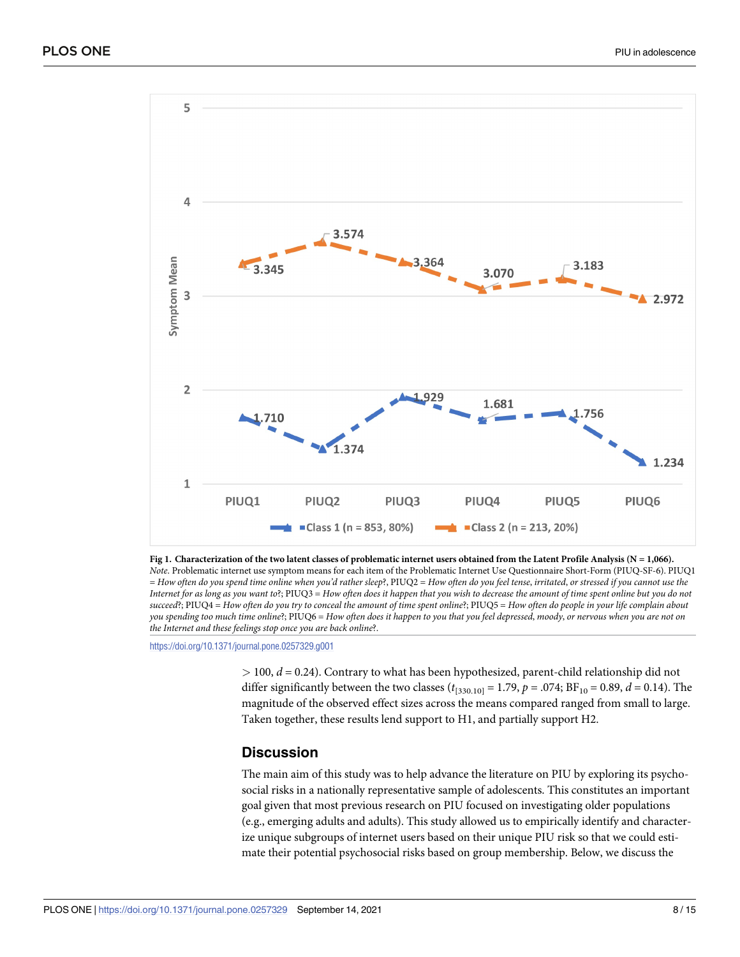<span id="page-8-0"></span>

[Fig](#page-7-0) 1. Characterization of the two latent classes of problematic internet users obtained from the Latent Profile Analysis (N = 1,066). *Note*. Problematic internet use symptom means for each item of the Problematic Internet Use Questionnaire Short-Form (PIUQ-SF-6). PIUQ1 = How often do you spend time online when you'd rather sleep?, PIUQ2 = How often do you feel tense, irritated, or stressed if you cannot use the Internet for as long as you want to?; PIUQ3 = How often does it happen that you wish to decrease the amount of time spent online but you do not succeed?; PIUQ4 = How often do you try to conceal the amount of time spent online?; PIUQ5 = How often do people in your life complain about you spending too much time online?; PIUQ6 = How often does it happen to you that you feel depressed, moody, or nervous when you are not on *the Internet and these feelings stop once you are back online*?.

<https://doi.org/10.1371/journal.pone.0257329.g001>

*>* 100, *d* = 0.24). Contrary to what has been hypothesized, parent-child relationship did not differ significantly between the two classes  $(t_{[330.10]} = 1.79, p = .074; BF_{10} = 0.89, d = 0.14)$ . The magnitude of the observed effect sizes across the means compared ranged from small to large. Taken together, these results lend support to H1, and partially support H2.

#### **Discussion**

The main aim of this study was to help advance the literature on PIU by exploring its psychosocial risks in a nationally representative sample of adolescents. This constitutes an important goal given that most previous research on PIU focused on investigating older populations (e.g., emerging adults and adults). This study allowed us to empirically identify and characterize unique subgroups of internet users based on their unique PIU risk so that we could estimate their potential psychosocial risks based on group membership. Below, we discuss the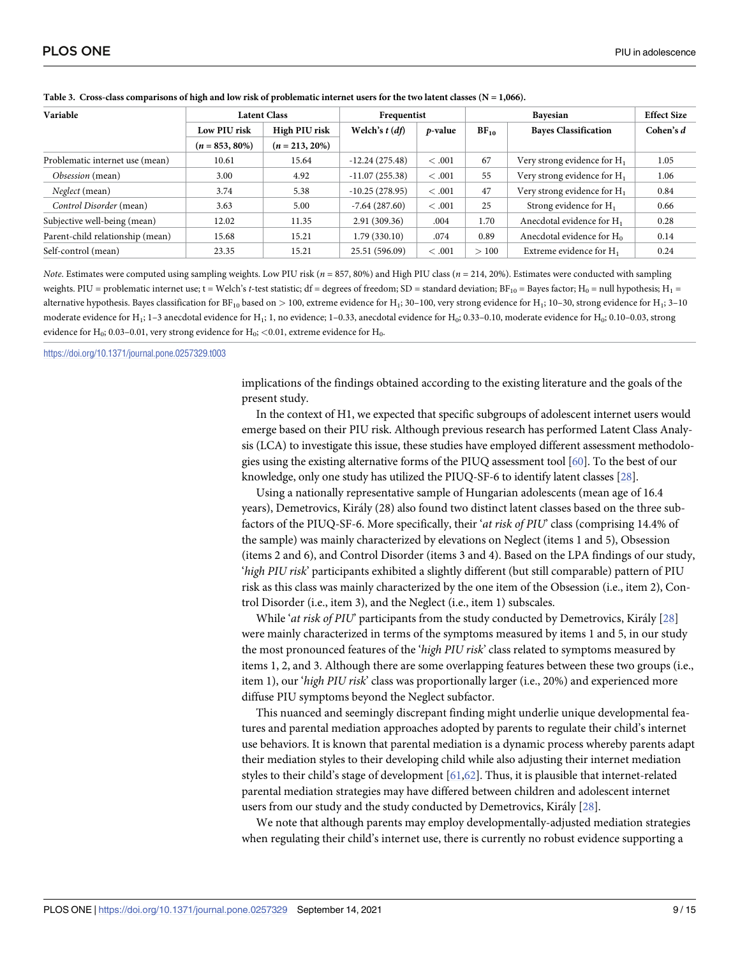| Variable                         |                   | <b>Latent Class</b> | Frequentist               |         | Bayesian         |                                         | <b>Effect Size</b> |
|----------------------------------|-------------------|---------------------|---------------------------|---------|------------------|-----------------------------------------|--------------------|
|                                  | Low PIU risk      | High PIU risk       | Welch's $t$ ( <i>df</i> ) | p-value | BF <sub>10</sub> | <b>Bayes Classification</b>             | Cohen's $d$        |
|                                  | $(n = 853, 80\%)$ | $(n = 213, 20\%)$   |                           |         |                  |                                         |                    |
| Problematic internet use (mean)  | 10.61             | 15.64               | $-12.24(275.48)$          | <.001   | 67               | Very strong evidence for $H_1$          | 1.05               |
| Obsession (mean)                 | 3.00              | 4.92                | $-11.07(255.38)$          | <.001   | 55               | Very strong evidence for H <sub>1</sub> | 1.06               |
| Neglect (mean)                   | 3.74              | 5.38                | $-10.25(278.95)$          | < 0.001 | 47               | Very strong evidence for $H_1$          | 0.84               |
| Control Disorder (mean)          | 3.63              | 5.00                | $-7.64(287.60)$           | <.001   | 25               | Strong evidence for $H_1$               | 0.66               |
| Subjective well-being (mean)     | 12.02             | 11.35               | 2.91(309.36)              | .004    | 1.70             | Anecdotal evidence for $H_1$            | 0.28               |
| Parent-child relationship (mean) | 15.68             | 15.21               | 1.79(330.10)              | .074    | 0.89             | Anecdotal evidence for H <sub>0</sub>   | 0.14               |
| Self-control (mean)              | 23.35             | 15.21               | 25.51 (596.09)            | <.001   | >100             | Extreme evidence for $H_1$              | 0.24               |

<span id="page-9-0"></span>[Table](#page-7-0) 3. Cross-class comparisons of high and low risk of problematic internet users for the two latent classes ( $N = 1,066$ ).

*Note*. Estimates were computed using sampling weights. Low PIU risk (*n* = 857, 80%) and High PIU class (*n* = 214, 20%). Estimates were conducted with sampling weights. PIU = problematic internet use; t = Welch's t-test statistic; df = degrees of freedom; SD = standard deviation; BF<sub>10</sub> = Bayes factor; H<sub>0</sub> = null hypothesis; H<sub>1</sub> = alternative hypothesis. Bayes classification for BF<sub>10</sub> based on > 100, extreme evidence for H<sub>1</sub>; 30-100, very strong evidence for H<sub>1</sub>; 10-30, strong evidence for H<sub>1</sub>; 3-10 moderate evidence for H<sub>1</sub>; 1-3 anecdotal evidence for H<sub>1</sub>; 1, no evidence; 1-0.33, anecdotal evidence for H<sub>0</sub>; 0.33-0.10, moderate evidence for H<sub>0</sub>; 0.10-0.03, strong evidence for H<sub>0</sub>; 0.03-0.01, very strong evidence for H<sub>0</sub>; <0.01, extreme evidence for H<sub>0</sub>.

<https://doi.org/10.1371/journal.pone.0257329.t003>

implications of the findings obtained according to the existing literature and the goals of the present study.

In the context of H1, we expected that specific subgroups of adolescent internet users would emerge based on their PIU risk. Although previous research has performed Latent Class Analysis (LCA) to investigate this issue, these studies have employed different assessment methodologies using the existing alternative forms of the PIUQ assessment tool [[60\]](#page-15-0). To the best of our knowledge, only one study has utilized the PIUQ-SF-6 to identify latent classes [[28](#page-13-0)].

Using a nationally representative sample of Hungarian adolescents (mean age of 16.4 years), Demetrovics, Kira´ly (28) also found two distinct latent classes based on the three subfactors of the PIUQ-SF-6. More specifically, their '*at risk of PIU*' class (comprising 14.4% of the sample) was mainly characterized by elevations on Neglect (items 1 and 5), Obsession (items 2 and 6), and Control Disorder (items 3 and 4). Based on the LPA findings of our study, '*high PIU risk*' participants exhibited a slightly different (but still comparable) pattern of PIU risk as this class was mainly characterized by the one item of the Obsession (i.e., item 2), Control Disorder (i.e., item 3), and the Neglect (i.e., item 1) subscales.

While '*at risk of PIU*' participants from the study conducted by Demetrovics, Kira´ly [[28](#page-13-0)] were mainly characterized in terms of the symptoms measured by items 1 and 5, in our study the most pronounced features of the '*high PIU risk*' class related to symptoms measured by items 1, 2, and 3. Although there are some overlapping features between these two groups (i.e., item 1), our '*high PIU risk*' class was proportionally larger (i.e., 20%) and experienced more diffuse PIU symptoms beyond the Neglect subfactor.

This nuanced and seemingly discrepant finding might underlie unique developmental features and parental mediation approaches adopted by parents to regulate their child's internet use behaviors. It is known that parental mediation is a dynamic process whereby parents adapt their mediation styles to their developing child while also adjusting their internet mediation styles to their child's stage of development  $[61,62]$  $[61,62]$ . Thus, it is plausible that internet-related parental mediation strategies may have differed between children and adolescent internet users from our study and the study conducted by Demetrovics, Király [\[28\]](#page-13-0).

We note that although parents may employ developmentally-adjusted mediation strategies when regulating their child's internet use, there is currently no robust evidence supporting a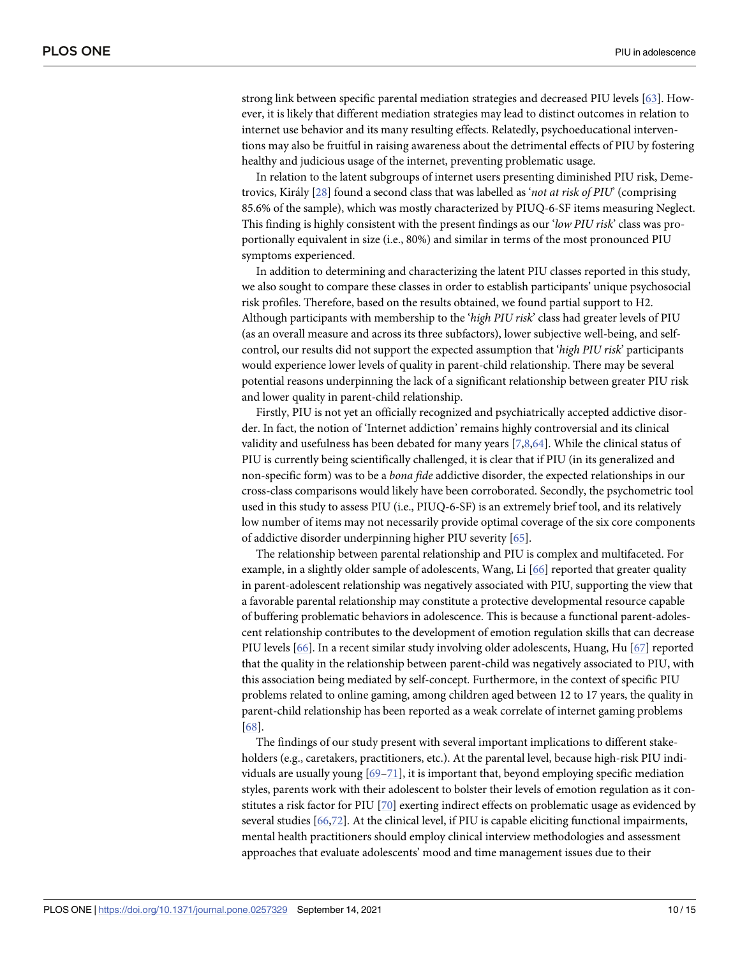<span id="page-10-0"></span>strong link between specific parental mediation strategies and decreased PIU levels [\[63\]](#page-15-0). However, it is likely that different mediation strategies may lead to distinct outcomes in relation to internet use behavior and its many resulting effects. Relatedly, psychoeducational interventions may also be fruitful in raising awareness about the detrimental effects of PIU by fostering healthy and judicious usage of the internet, preventing problematic usage.

In relation to the latent subgroups of internet users presenting diminished PIU risk, Demetrovics, Kira´ly [\[28\]](#page-13-0) found a second class that was labelled as '*not at risk of PIU*' (comprising 85.6% of the sample), which was mostly characterized by PIUQ-6-SF items measuring Neglect. This finding is highly consistent with the present findings as our '*low PIU risk*' class was proportionally equivalent in size (i.e., 80%) and similar in terms of the most pronounced PIU symptoms experienced.

In addition to determining and characterizing the latent PIU classes reported in this study, we also sought to compare these classes in order to establish participants' unique psychosocial risk profiles. Therefore, based on the results obtained, we found partial support to H2. Although participants with membership to the '*high PIU risk*' class had greater levels of PIU (as an overall measure and across its three subfactors), lower subjective well-being, and selfcontrol, our results did not support the expected assumption that '*high PIU risk*' participants would experience lower levels of quality in parent-child relationship. There may be several potential reasons underpinning the lack of a significant relationship between greater PIU risk and lower quality in parent-child relationship.

Firstly, PIU is not yet an officially recognized and psychiatrically accepted addictive disorder. In fact, the notion of 'Internet addiction' remains highly controversial and its clinical validity and usefulness has been debated for many years [[7,8,](#page-12-0)[64](#page-15-0)]. While the clinical status of PIU is currently being scientifically challenged, it is clear that if PIU (in its generalized and non-specific form) was to be a *bona fide* addictive disorder, the expected relationships in our cross-class comparisons would likely have been corroborated. Secondly, the psychometric tool used in this study to assess PIU (i.e., PIUQ-6-SF) is an extremely brief tool, and its relatively low number of items may not necessarily provide optimal coverage of the six core components of addictive disorder underpinning higher PIU severity [[65](#page-15-0)].

The relationship between parental relationship and PIU is complex and multifaceted. For example, in a slightly older sample of adolescents, Wang, Li [\[66\]](#page-15-0) reported that greater quality in parent-adolescent relationship was negatively associated with PIU, supporting the view that a favorable parental relationship may constitute a protective developmental resource capable of buffering problematic behaviors in adolescence. This is because a functional parent-adolescent relationship contributes to the development of emotion regulation skills that can decrease PIU levels [[66](#page-15-0)]. In a recent similar study involving older adolescents, Huang, Hu [[67](#page-15-0)] reported that the quality in the relationship between parent-child was negatively associated to PIU, with this association being mediated by self-concept. Furthermore, in the context of specific PIU problems related to online gaming, among children aged between 12 to 17 years, the quality in parent-child relationship has been reported as a weak correlate of internet gaming problems [\[68\]](#page-15-0).

The findings of our study present with several important implications to different stakeholders (e.g., caretakers, practitioners, etc.). At the parental level, because high-risk PIU individuals are usually young  $[69-71]$ , it is important that, beyond employing specific mediation styles, parents work with their adolescent to bolster their levels of emotion regulation as it constitutes a risk factor for PIU [\[70\]](#page-15-0) exerting indirect effects on problematic usage as evidenced by several studies [[66,72\]](#page-15-0). At the clinical level, if PIU is capable eliciting functional impairments, mental health practitioners should employ clinical interview methodologies and assessment approaches that evaluate adolescents' mood and time management issues due to their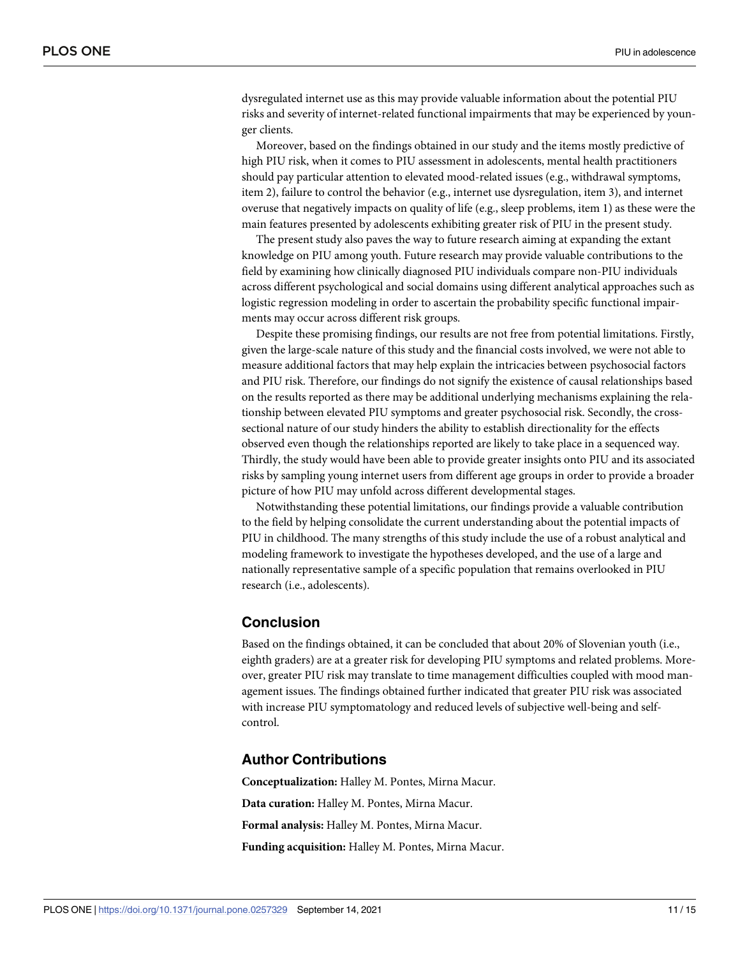dysregulated internet use as this may provide valuable information about the potential PIU risks and severity of internet-related functional impairments that may be experienced by younger clients.

Moreover, based on the findings obtained in our study and the items mostly predictive of high PIU risk, when it comes to PIU assessment in adolescents, mental health practitioners should pay particular attention to elevated mood-related issues (e.g., withdrawal symptoms, item 2), failure to control the behavior (e.g., internet use dysregulation, item 3), and internet overuse that negatively impacts on quality of life (e.g., sleep problems, item 1) as these were the main features presented by adolescents exhibiting greater risk of PIU in the present study.

The present study also paves the way to future research aiming at expanding the extant knowledge on PIU among youth. Future research may provide valuable contributions to the field by examining how clinically diagnosed PIU individuals compare non-PIU individuals across different psychological and social domains using different analytical approaches such as logistic regression modeling in order to ascertain the probability specific functional impairments may occur across different risk groups.

Despite these promising findings, our results are not free from potential limitations. Firstly, given the large-scale nature of this study and the financial costs involved, we were not able to measure additional factors that may help explain the intricacies between psychosocial factors and PIU risk. Therefore, our findings do not signify the existence of causal relationships based on the results reported as there may be additional underlying mechanisms explaining the relationship between elevated PIU symptoms and greater psychosocial risk. Secondly, the crosssectional nature of our study hinders the ability to establish directionality for the effects observed even though the relationships reported are likely to take place in a sequenced way. Thirdly, the study would have been able to provide greater insights onto PIU and its associated risks by sampling young internet users from different age groups in order to provide a broader picture of how PIU may unfold across different developmental stages.

Notwithstanding these potential limitations, our findings provide a valuable contribution to the field by helping consolidate the current understanding about the potential impacts of PIU in childhood. The many strengths of this study include the use of a robust analytical and modeling framework to investigate the hypotheses developed, and the use of a large and nationally representative sample of a specific population that remains overlooked in PIU research (i.e., adolescents).

#### **Conclusion**

Based on the findings obtained, it can be concluded that about 20% of Slovenian youth (i.e., eighth graders) are at a greater risk for developing PIU symptoms and related problems. Moreover, greater PIU risk may translate to time management difficulties coupled with mood management issues. The findings obtained further indicated that greater PIU risk was associated with increase PIU symptomatology and reduced levels of subjective well-being and selfcontrol.

## **Author Contributions**

**Conceptualization:** Halley M. Pontes, Mirna Macur. **Data curation:** Halley M. Pontes, Mirna Macur. **Formal analysis:** Halley M. Pontes, Mirna Macur. **Funding acquisition:** Halley M. Pontes, Mirna Macur.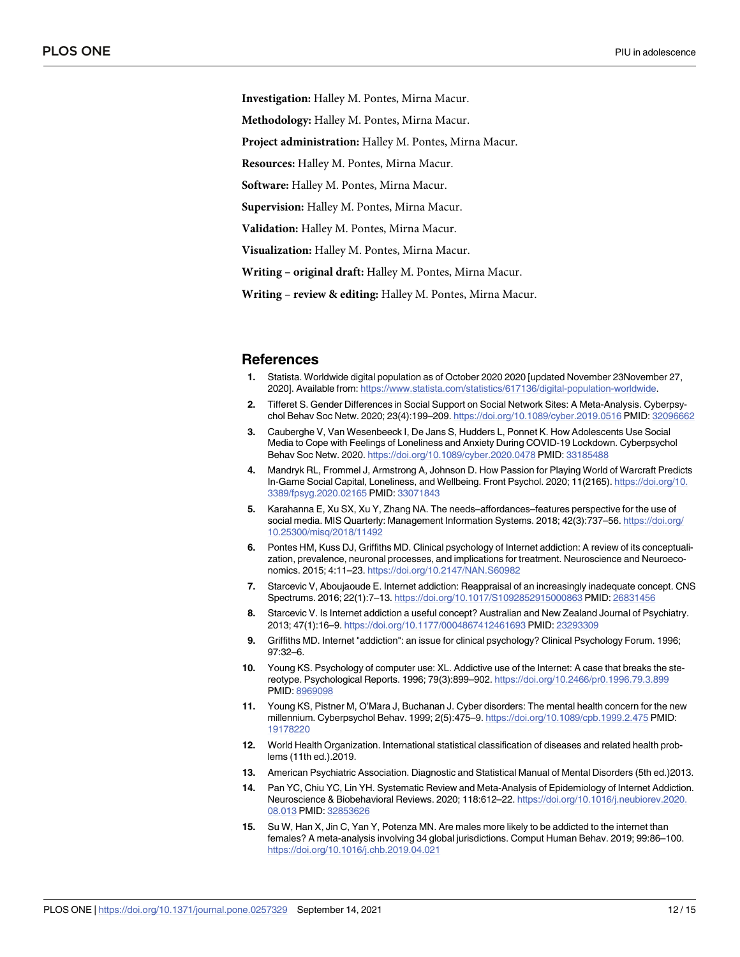<span id="page-12-0"></span>**Investigation:** Halley M. Pontes, Mirna Macur.

**Methodology:** Halley M. Pontes, Mirna Macur.

**Project administration:** Halley M. Pontes, Mirna Macur.

**Resources:** Halley M. Pontes, Mirna Macur.

**Software:** Halley M. Pontes, Mirna Macur.

**Supervision:** Halley M. Pontes, Mirna Macur.

**Validation:** Halley M. Pontes, Mirna Macur.

**Visualization:** Halley M. Pontes, Mirna Macur.

**Writing – original draft:** Halley M. Pontes, Mirna Macur.

**Writing – review & editing:** Halley M. Pontes, Mirna Macur.

#### **References**

- **[1](#page-2-0).** Statista. Worldwide digital population as of October 2020 2020 [updated November 23November 27, 2020]. Available from: <https://www.statista.com/statistics/617136/digital-population-worldwide>.
- **[2](#page-2-0).** Tifferet S. Gender Differences in Social Support on Social Network Sites: A Meta-Analysis. Cyberpsychol Behav Soc Netw. 2020; 23(4):199–209. <https://doi.org/10.1089/cyber.2019.0516> PMID: [32096662](http://www.ncbi.nlm.nih.gov/pubmed/32096662)
- **[3](#page-2-0).** Cauberghe V, Van Wesenbeeck I, De Jans S, Hudders L, Ponnet K. How Adolescents Use Social Media to Cope with Feelings of Loneliness and Anxiety During COVID-19 Lockdown. Cyberpsychol Behav Soc Netw. 2020. <https://doi.org/10.1089/cyber.2020.0478> PMID: [33185488](http://www.ncbi.nlm.nih.gov/pubmed/33185488)
- **[4](#page-2-0).** Mandryk RL, Frommel J, Armstrong A, Johnson D. How Passion for Playing World of Warcraft Predicts In-Game Social Capital, Loneliness, and Wellbeing. Front Psychol. 2020; 11(2165). [https://doi.org/10.](https://doi.org/10.3389/fpsyg.2020.02165) [3389/fpsyg.2020.02165](https://doi.org/10.3389/fpsyg.2020.02165) PMID: [33071843](http://www.ncbi.nlm.nih.gov/pubmed/33071843)
- **[5](#page-2-0).** Karahanna E, Xu SX, Xu Y, Zhang NA. The needs–affordances–features perspective for the use of social media. MIS Quarterly: Management Information Systems. 2018; 42(3):737–56. [https://doi.org/](https://doi.org/10.25300/misq/2018/11492) [10.25300/misq/2018/11492](https://doi.org/10.25300/misq/2018/11492)
- **[6](#page-2-0).** Pontes HM, Kuss DJ, Griffiths MD. Clinical psychology of Internet addiction: A review of its conceptualization, prevalence, neuronal processes, and implications for treatment. Neuroscience and Neuroeconomics. 2015; 4:11–23. <https://doi.org/10.2147/NAN.S60982>
- **[7](#page-2-0).** Starcevic V, Aboujaoude E. Internet addiction: Reappraisal of an increasingly inadequate concept. CNS Spectrums. 2016; 22(1):7–13. <https://doi.org/10.1017/S1092852915000863> PMID: [26831456](http://www.ncbi.nlm.nih.gov/pubmed/26831456)
- **[8](#page-2-0).** Starcevic V. Is Internet addiction a useful concept? Australian and New Zealand Journal of Psychiatry. 2013; 47(1):16–9. <https://doi.org/10.1177/0004867412461693> PMID: [23293309](http://www.ncbi.nlm.nih.gov/pubmed/23293309)
- **[9](#page-2-0).** Griffiths MD. Internet "addiction": an issue for clinical psychology? Clinical Psychology Forum. 1996; 97:32–6.
- **[10](#page-2-0).** Young KS. Psychology of computer use: XL. Addictive use of the Internet: A case that breaks the stereotype. Psychological Reports. 1996; 79(3):899–902. <https://doi.org/10.2466/pr0.1996.79.3.899> PMID: [8969098](http://www.ncbi.nlm.nih.gov/pubmed/8969098)
- **[11](#page-2-0).** Young KS, Pistner M, O'Mara J, Buchanan J. Cyber disorders: The mental health concern for the new millennium. Cyberpsychol Behav. 1999; 2(5):475–9. <https://doi.org/10.1089/cpb.1999.2.475> PMID: [19178220](http://www.ncbi.nlm.nih.gov/pubmed/19178220)
- **[12](#page-2-0).** World Health Organization. International statistical classification of diseases and related health problems (11th ed.).2019.
- **[13](#page-2-0).** American Psychiatric Association. Diagnostic and Statistical Manual of Mental Disorders (5th ed.)2013.
- **[14](#page-2-0).** Pan YC, Chiu YC, Lin YH. Systematic Review and Meta-Analysis of Epidemiology of Internet Addiction. Neuroscience & Biobehavioral Reviews. 2020; 118:612–22. [https://doi.org/10.1016/j.neubiorev.2020.](https://doi.org/10.1016/j.neubiorev.2020.08.013) [08.013](https://doi.org/10.1016/j.neubiorev.2020.08.013) PMID: [32853626](http://www.ncbi.nlm.nih.gov/pubmed/32853626)
- **[15](#page-2-0).** Su W, Han X, Jin C, Yan Y, Potenza MN. Are males more likely to be addicted to the internet than females? A meta-analysis involving 34 global jurisdictions. Comput Human Behav. 2019; 99:86–100. <https://doi.org/10.1016/j.chb.2019.04.021>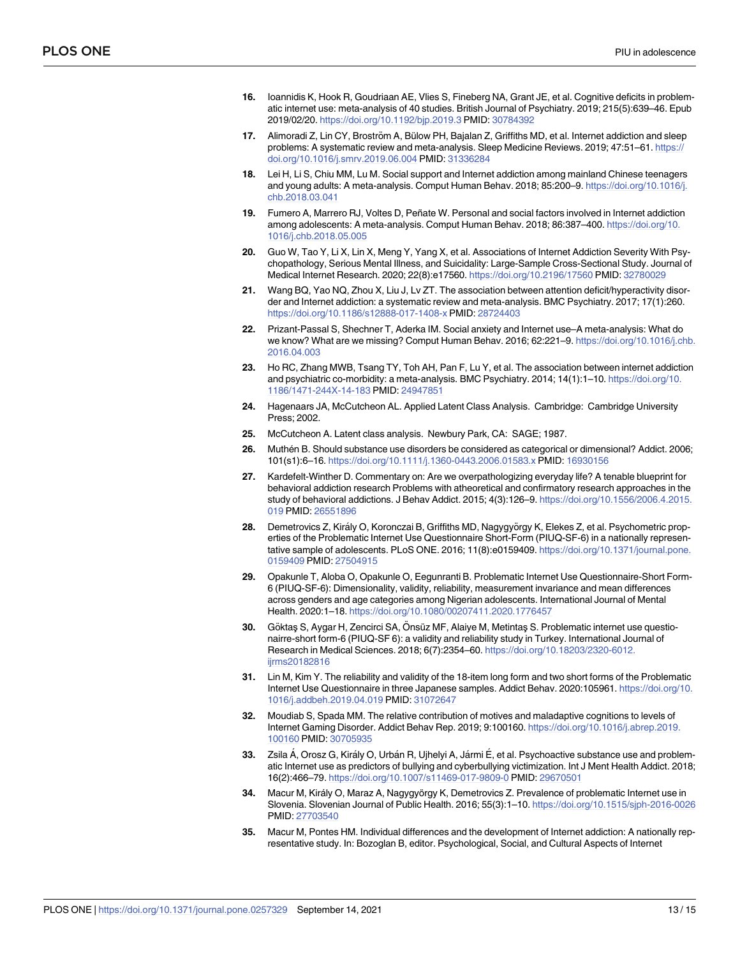- <span id="page-13-0"></span>**[16](#page-2-0).** Ioannidis K, Hook R, Goudriaan AE, Vlies S, Fineberg NA, Grant JE, et al. Cognitive deficits in problematic internet use: meta-analysis of 40 studies. British Journal of Psychiatry. 2019; 215(5):639–46. Epub 2019/02/20. <https://doi.org/10.1192/bjp.2019.3> PMID: [30784392](http://www.ncbi.nlm.nih.gov/pubmed/30784392)
- **[17](#page-2-0).** Alimoradi Z, Lin CY, Broström A, Bülow PH, Bajalan Z, Griffiths MD, et al. Internet addiction and sleep problems: A systematic review and meta-analysis. Sleep Medicine Reviews. 2019; 47:51–61. [https://](https://doi.org/10.1016/j.smrv.2019.06.004) [doi.org/10.1016/j.smrv.2019.06.004](https://doi.org/10.1016/j.smrv.2019.06.004) PMID: [31336284](http://www.ncbi.nlm.nih.gov/pubmed/31336284)
- **[18](#page-2-0).** Lei H, Li S, Chiu MM, Lu M. Social support and Internet addiction among mainland Chinese teenagers and young adults: A meta-analysis. Comput Human Behav. 2018; 85:200–9. [https://doi.org/10.1016/j.](https://doi.org/10.1016/j.chb.2018.03.041) [chb.2018.03.041](https://doi.org/10.1016/j.chb.2018.03.041)
- **[19](#page-2-0).** Fumero A, Marrero RJ, Voltes D, Peñate W. Personal and social factors involved in Internet addiction among adolescents: A meta-analysis. Comput Human Behav. 2018; 86:387–400. [https://doi.org/10.](https://doi.org/10.1016/j.chb.2018.05.005) [1016/j.chb.2018.05.005](https://doi.org/10.1016/j.chb.2018.05.005)
- **[20](#page-2-0).** Guo W, Tao Y, Li X, Lin X, Meng Y, Yang X, et al. Associations of Internet Addiction Severity With Psychopathology, Serious Mental Illness, and Suicidality: Large-Sample Cross-Sectional Study. Journal of Medical Internet Research. 2020; 22(8):e17560. <https://doi.org/10.2196/17560> PMID: [32780029](http://www.ncbi.nlm.nih.gov/pubmed/32780029)
- **[21](#page-3-0).** Wang BQ, Yao NQ, Zhou X, Liu J, Lv ZT. The association between attention deficit/hyperactivity disorder and Internet addiction: a systematic review and meta-analysis. BMC Psychiatry. 2017; 17(1):260. <https://doi.org/10.1186/s12888-017-1408-x> PMID: [28724403](http://www.ncbi.nlm.nih.gov/pubmed/28724403)
- **[22](#page-3-0).** Prizant-Passal S, Shechner T, Aderka IM. Social anxiety and Internet use–A meta-analysis: What do we know? What are we missing? Comput Human Behav. 2016; 62:221–9. [https://doi.org/10.1016/j.chb.](https://doi.org/10.1016/j.chb.2016.04.003) [2016.04.003](https://doi.org/10.1016/j.chb.2016.04.003)
- **[23](#page-3-0).** Ho RC, Zhang MWB, Tsang TY, Toh AH, Pan F, Lu Y, et al. The association between internet addiction and psychiatric co-morbidity: a meta-analysis. BMC Psychiatry. 2014; 14(1):1–10. [https://doi.org/10.](https://doi.org/10.1186/1471-244X-14-183) [1186/1471-244X-14-183](https://doi.org/10.1186/1471-244X-14-183) PMID: [24947851](http://www.ncbi.nlm.nih.gov/pubmed/24947851)
- **[24](#page-3-0).** Hagenaars JA, McCutcheon AL. Applied Latent Class Analysis. Cambridge: Cambridge University Press; 2002.
- **[25](#page-3-0).** McCutcheon A. Latent class analysis. Newbury Park, CA: SAGE; 1987.
- **[26](#page-3-0).** Muthe´n B. Should substance use disorders be considered as categorical or dimensional? Addict. 2006; 101(s1):6–16. <https://doi.org/10.1111/j.1360-0443.2006.01583.x> PMID: [16930156](http://www.ncbi.nlm.nih.gov/pubmed/16930156)
- **[27](#page-3-0).** Kardefelt-Winther D. Commentary on: Are we overpathologizing everyday life? A tenable blueprint for behavioral addiction research Problems with atheoretical and confirmatory research approaches in the study of behavioral addictions. J Behav Addict. 2015; 4(3):126–9. [https://doi.org/10.1556/2006.4.2015.](https://doi.org/10.1556/2006.4.2015.019) [019](https://doi.org/10.1556/2006.4.2015.019) PMID: [26551896](http://www.ncbi.nlm.nih.gov/pubmed/26551896)
- **[28](#page-5-0).** Demetrovics Z, Király O, Koronczai B, Griffiths MD, Nagygyörgy K, Elekes Z, et al. Psychometric properties of the Problematic Internet Use Questionnaire Short-Form (PIUQ-SF-6) in a nationally representative sample of adolescents. PLoS ONE. 2016; 11(8):e0159409. [https://doi.org/10.1371/journal.pone.](https://doi.org/10.1371/journal.pone.0159409) [0159409](https://doi.org/10.1371/journal.pone.0159409) PMID: [27504915](http://www.ncbi.nlm.nih.gov/pubmed/27504915)
- **[29](#page-5-0).** Opakunle T, Aloba O, Opakunle O, Eegunranti B. Problematic Internet Use Questionnaire-Short Form-6 (PIUQ-SF-6): Dimensionality, validity, reliability, measurement invariance and mean differences across genders and age categories among Nigerian adolescents. International Journal of Mental Health. 2020:1–18. <https://doi.org/10.1080/00207411.2020.1776457>
- **30.** Göktaş S, Aygar H, Zencirci SA, Önsüz MF, Alaiye M, Metintaş S. Problematic internet use questionairre-short form-6 (PIUQ-SF 6): a validity and reliability study in Turkey. International Journal of Research in Medical Sciences. 2018; 6(7):2354–60. [https://doi.org/10.18203/2320-6012.](https://doi.org/10.18203/2320-6012.ijrms20182816) iirms20182816
- **31.** Lin M, Kim Y. The reliability and validity of the 18-item long form and two short forms of the Problematic Internet Use Questionnaire in three Japanese samples. Addict Behav. 2020:105961. [https://doi.org/10.](https://doi.org/10.1016/j.addbeh.2019.04.019) [1016/j.addbeh.2019.04.019](https://doi.org/10.1016/j.addbeh.2019.04.019) PMID: [31072647](http://www.ncbi.nlm.nih.gov/pubmed/31072647)
- **32.** Moudiab S, Spada MM. The relative contribution of motives and maladaptive cognitions to levels of Internet Gaming Disorder. Addict Behav Rep. 2019; 9:100160. [https://doi.org/10.1016/j.abrep.2019.](https://doi.org/10.1016/j.abrep.2019.100160) [100160](https://doi.org/10.1016/j.abrep.2019.100160) PMID: [30705935](http://www.ncbi.nlm.nih.gov/pubmed/30705935)
- **33.** Zsila Á, Orosz G, Király O, Urbán R, Ujhelyi A, Jármi É, et al. Psychoactive substance use and problematic Internet use as predictors of bullying and cyberbullying victimization. Int J Ment Health Addict. 2018; 16(2):466–79. <https://doi.org/10.1007/s11469-017-9809-0> PMID: [29670501](http://www.ncbi.nlm.nih.gov/pubmed/29670501)
- 34. Macur M, Király O, Maraz A, Nagygyörgy K, Demetrovics Z. Prevalence of problematic Internet use in Slovenia. Slovenian Journal of Public Health. 2016; 55(3):1–10. <https://doi.org/10.1515/sjph-2016-0026> PMID: [27703540](http://www.ncbi.nlm.nih.gov/pubmed/27703540)
- **[35](#page-5-0).** Macur M, Pontes HM. Individual differences and the development of Internet addiction: A nationally representative study. In: Bozoglan B, editor. Psychological, Social, and Cultural Aspects of Internet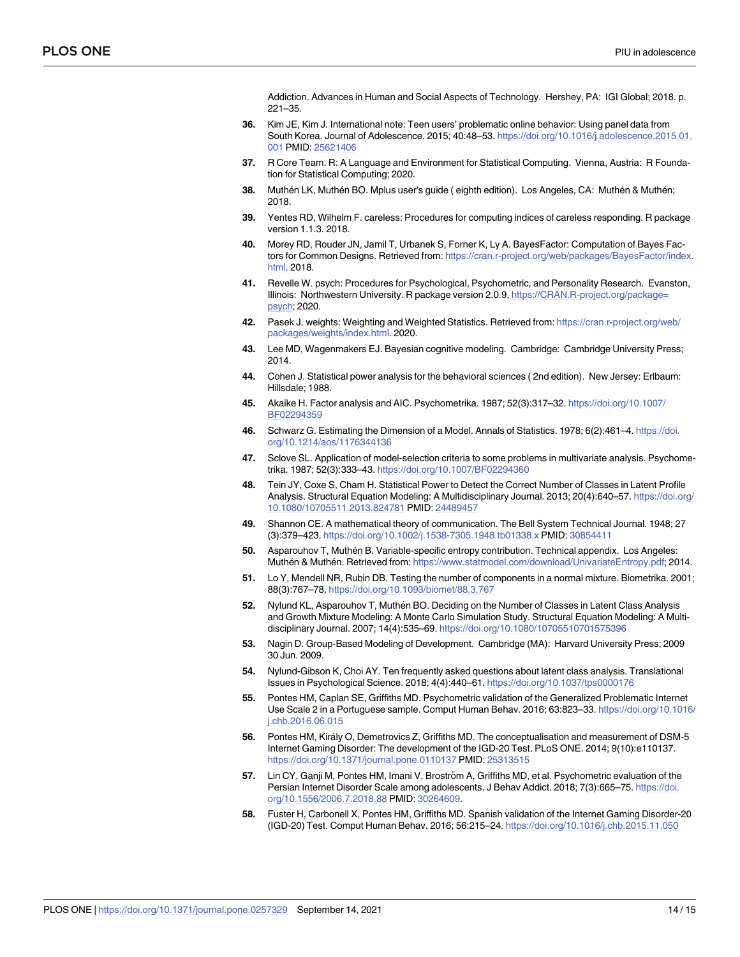Addiction. Advances in Human and Social Aspects of Technology. Hershey, PA: IGI Global; 2018. p. 221–35.

- <span id="page-14-0"></span>**[36](#page-5-0).** Kim JE, Kim J. International note: Teen users' problematic online behavior: Using panel data from South Korea. Journal of Adolescence. 2015; 40:48–53. [https://doi.org/10.1016/j.adolescence.2015.01.](https://doi.org/10.1016/j.adolescence.2015.01.001) [001](https://doi.org/10.1016/j.adolescence.2015.01.001) PMID: [25621406](http://www.ncbi.nlm.nih.gov/pubmed/25621406)
- **[37](#page-5-0).** R Core Team. R: A Language and Environment for Statistical Computing. Vienna, Austria: R Foundation for Statistical Computing; 2020.
- **[38](#page-5-0).** Muthén LK, Muthén BO. Mplus user's guide ( eighth edition). Los Angeles, CA: Muthén & Muthén; 2018.
- **[39](#page-6-0).** Yentes RD, Wilhelm F. careless: Procedures for computing indices of careless responding. R package version 1.1.3. 2018.
- **[40](#page-6-0).** Morey RD, Rouder JN, Jamil T, Urbanek S, Forner K, Ly A. BayesFactor: Computation of Bayes Factors for Common Designs. Retrieved from: [https://cran.r-project.org/web/packages/BayesFactor/index.](https://cran.r-project.org/web/packages/BayesFactor/index.html) [html](https://cran.r-project.org/web/packages/BayesFactor/index.html). 2018.
- **[41](#page-6-0).** Revelle W. psych: Procedures for Psychological, Psychometric, and Personality Research. Evanston, Illinois: Northwestern University. R package version 2.0.9, [https://CRAN.R-project.org/package=](https://CRAN.R-project.org/package=psych) [psych](https://CRAN.R-project.org/package=psych); 2020.
- **[42](#page-6-0).** Pasek J. weights: Weighting and Weighted Statistics. Retrieved from: [https://cran.r-project.org/web/](https://cran.r-project.org/web/packages/weights/index.html) [packages/weights/index.html](https://cran.r-project.org/web/packages/weights/index.html). 2020.
- **[43](#page-6-0).** Lee MD, Wagenmakers EJ. Bayesian cognitive modeling. Cambridge: Cambridge University Press; 2014.
- **[44](#page-6-0).** Cohen J. Statistical power analysis for the behavioral sciences ( 2nd edition). New Jersey: Erlbaum: Hillsdale; 1988.
- **[45](#page-6-0).** Akaike H. Factor analysis and AIC. Psychometrika. 1987; 52(3):317–32. [https://doi.org/10.1007/](https://doi.org/10.1007/BF02294359) [BF02294359](https://doi.org/10.1007/BF02294359)
- **[46](#page-6-0).** Schwarz G. Estimating the Dimension of a Model. Annals of Statistics. 1978; 6(2):461–4. [https://doi.](https://doi.org/10.1214/aos/1176344136) [org/10.1214/aos/1176344136](https://doi.org/10.1214/aos/1176344136)
- **[47](#page-6-0).** Sclove SL. Application of model-selection criteria to some problems in multivariate analysis. Psychometrika. 1987; 52(3):333–43. <https://doi.org/10.1007/BF02294360>
- **[48](#page-6-0).** Tein JY, Coxe S, Cham H. Statistical Power to Detect the Correct Number of Classes in Latent Profile Analysis. Structural Equation Modeling: A Multidisciplinary Journal. 2013; 20(4):640–57. [https://doi.org/](https://doi.org/10.1080/10705511.2013.824781) [10.1080/10705511.2013.824781](https://doi.org/10.1080/10705511.2013.824781) PMID: [24489457](http://www.ncbi.nlm.nih.gov/pubmed/24489457)
- **[49](#page-6-0).** Shannon CE. A mathematical theory of communication. The Bell System Technical Journal. 1948; 27 (3):379–423. <https://doi.org/10.1002/j.1538-7305.1948.tb01338.x> PMID: [30854411](http://www.ncbi.nlm.nih.gov/pubmed/30854411)
- **[50](#page-6-0).** Asparouhov T, Muthén B. Variable-specific entropy contribution. Technical appendix. Los Angeles: Muthen & Muthen. Retrieved from: [https://www.statmodel.com/download/UnivariateEntropy.pdf;](https://www.statmodel.com/download/UnivariateEntropy.pdf) 2014.
- **[51](#page-6-0).** Lo Y, Mendell NR, Rubin DB. Testing the number of components in a normal mixture. Biometrika. 2001; 88(3):767–78. <https://doi.org/10.1093/biomet/88.3.767>
- **[52](#page-6-0).** Nylund KL, Asparouhov T, Muthén BO. Deciding on the Number of Classes in Latent Class Analysis and Growth Mixture Modeling: A Monte Carlo Simulation Study. Structural Equation Modeling: A Multidisciplinary Journal. 2007; 14(4):535–69. <https://doi.org/10.1080/10705510701575396>
- **[53](#page-7-0).** Nagin D. Group-Based Modeling of Development. Cambridge (MA): Harvard University Press; 2009 30 Jun. 2009.
- **[54](#page-7-0).** Nylund-Gibson K, Choi AY. Ten frequently asked questions about latent class analysis. Translational Issues in Psychological Science. 2018; 4(4):440–61. <https://doi.org/10.1037/tps0000176>
- **[55](#page-7-0).** Pontes HM, Caplan SE, Griffiths MD. Psychometric validation of the Generalized Problematic Internet Use Scale 2 in a Portuguese sample. Comput Human Behav. 2016; 63:823–33. [https://doi.org/10.1016/](https://doi.org/10.1016/j.chb.2016.06.015) [j.chb.2016.06.015](https://doi.org/10.1016/j.chb.2016.06.015)
- **56.** Pontes HM, Kira´ly O, Demetrovics Z, Griffiths MD. The conceptualisation and measurement of DSM-5 Internet Gaming Disorder: The development of the IGD-20 Test. PLoS ONE. 2014; 9(10):e110137. <https://doi.org/10.1371/journal.pone.0110137> PMID: [25313515](http://www.ncbi.nlm.nih.gov/pubmed/25313515)
- **57.** Lin CY, Ganji M, Pontes HM, Imani V, Broström A, Griffiths MD, et al. Psychometric evaluation of the Persian Internet Disorder Scale among adolescents. J Behav Addict. 2018; 7(3):665–75. [https://doi.](https://doi.org/10.1556/2006.7.2018.88) [org/10.1556/2006.7.2018.88](https://doi.org/10.1556/2006.7.2018.88) PMID: [30264609.](http://www.ncbi.nlm.nih.gov/pubmed/30264609)
- **58.** Fuster H, Carbonell X, Pontes HM, Griffiths MD. Spanish validation of the Internet Gaming Disorder-20 (IGD-20) Test. Comput Human Behav. 2016; 56:215–24. <https://doi.org/10.1016/j.chb.2015.11.050>